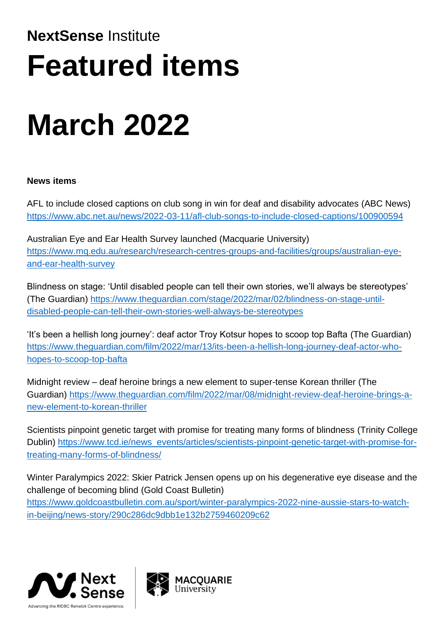## **NextSense** Institute **Featured items**

# **March 2022**

### **News items**

AFL to include closed captions on club song in win for deaf and disability advocates (ABC News) <https://www.abc.net.au/news/2022-03-11/afl-club-songs-to-include-closed-captions/100900594>

Australian Eye and Ear Health Survey launched (Macquarie University) [https://www.mq.edu.au/research/research-centres-groups-and-facilities/groups/australian-eye](https://www.mq.edu.au/research/research-centres-groups-and-facilities/groups/australian-eye-and-ear-health-survey)[and-ear-health-survey](https://www.mq.edu.au/research/research-centres-groups-and-facilities/groups/australian-eye-and-ear-health-survey)

Blindness on stage: 'Until disabled people can tell their own stories, we'll always be stereotypes' (The Guardian) [https://www.theguardian.com/stage/2022/mar/02/blindness-on-stage-until](https://www.theguardian.com/stage/2022/mar/02/blindness-on-stage-until-disabled-people-can-tell-their-own-stories-well-always-be-stereotypes)[disabled-people-can-tell-their-own-stories-well-always-be-stereotypes](https://www.theguardian.com/stage/2022/mar/02/blindness-on-stage-until-disabled-people-can-tell-their-own-stories-well-always-be-stereotypes)

'It's been a hellish long journey': deaf actor Troy Kotsur hopes to scoop top Bafta (The Guardian) [https://www.theguardian.com/film/2022/mar/13/its-been-a-hellish-long-journey-deaf-actor-who](https://www.theguardian.com/film/2022/mar/13/its-been-a-hellish-long-journey-deaf-actor-who-hopes-to-scoop-top-bafta)[hopes-to-scoop-top-bafta](https://www.theguardian.com/film/2022/mar/13/its-been-a-hellish-long-journey-deaf-actor-who-hopes-to-scoop-top-bafta)

Midnight review – deaf heroine brings a new element to super-tense Korean thriller (The Guardian) [https://www.theguardian.com/film/2022/mar/08/midnight-review-deaf-heroine-brings-a](https://www.theguardian.com/film/2022/mar/08/midnight-review-deaf-heroine-brings-a-new-element-to-korean-thriller)[new-element-to-korean-thriller](https://www.theguardian.com/film/2022/mar/08/midnight-review-deaf-heroine-brings-a-new-element-to-korean-thriller)

Scientists pinpoint genetic target with promise for treating many forms of blindness (Trinity College Dublin) [https://www.tcd.ie/news\\_events/articles/scientists-pinpoint-genetic-target-with-promise-for](https://www.tcd.ie/news_events/articles/scientists-pinpoint-genetic-target-with-promise-for-treating-many-forms-of-blindness/)[treating-many-forms-of-blindness/](https://www.tcd.ie/news_events/articles/scientists-pinpoint-genetic-target-with-promise-for-treating-many-forms-of-blindness/)

Winter Paralympics 2022: Skier Patrick Jensen opens up on his degenerative eye disease and the challenge of becoming blind (Gold Coast Bulletin)

[https://www.goldcoastbulletin.com.au/sport/winter-paralympics-2022-nine-aussie-stars-to-watch](https://www.goldcoastbulletin.com.au/sport/winter-paralympics-2022-nine-aussie-stars-to-watch-in-beijing/news-story/290c286dc9dbb1e132b2759460209c62)[in-beijing/news-story/290c286dc9dbb1e132b2759460209c62](https://www.goldcoastbulletin.com.au/sport/winter-paralympics-2022-nine-aussie-stars-to-watch-in-beijing/news-story/290c286dc9dbb1e132b2759460209c62)



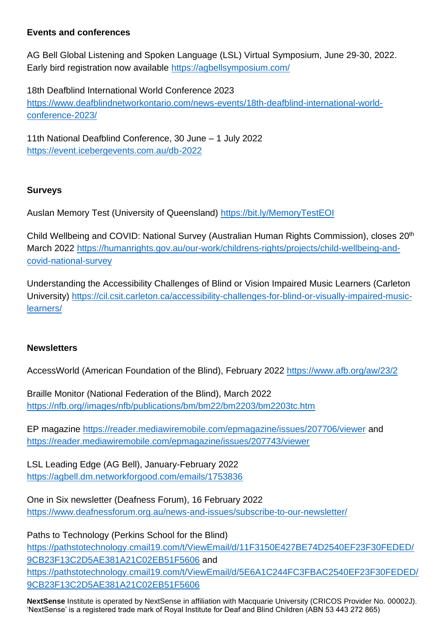#### **Events and conferences**

AG Bell Global Listening and Spoken Language (LSL) Virtual Symposium, June 29-30, 2022. Early bird registration now available <https://agbellsymposium.com/>

18th Deafblind International World Conference 2023 [https://www.deafblindnetworkontario.com/news-events/18th-deafblind-international-world](https://www.deafblindnetworkontario.com/news-events/18th-deafblind-international-world-conference-2023/)[conference-2023/](https://www.deafblindnetworkontario.com/news-events/18th-deafblind-international-world-conference-2023/)

11th National Deafblind Conference, 30 June – 1 July 2022 <https://event.icebergevents.com.au/db-2022>

#### **Surveys**

Auslan Memory Test (University of Queensland)<https://bit.ly/MemoryTestEOI>

Child Wellbeing and COVID: National Survey (Australian Human Rights Commission), closes 20th March 2022 [https://humanrights.gov.au/our-work/childrens-rights/projects/child-wellbeing-and](https://humanrights.gov.au/our-work/childrens-rights/projects/child-wellbeing-and-covid-national-survey)[covid-national-survey](https://humanrights.gov.au/our-work/childrens-rights/projects/child-wellbeing-and-covid-national-survey)

Understanding the Accessibility Challenges of Blind or Vision Impaired Music Learners (Carleton University) [https://cil.csit.carleton.ca/accessibility-challenges-for-blind-or-visually-impaired-music](https://cil.csit.carleton.ca/accessibility-challenges-for-blind-or-visually-impaired-music-learners/)[learners/](https://cil.csit.carleton.ca/accessibility-challenges-for-blind-or-visually-impaired-music-learners/)

#### **Newsletters**

AccessWorld (American Foundation of the Blind), February 2022 <https://www.afb.org/aw/23/2>

Braille Monitor (National Federation of the Blind), March 2022 [https://nfb.org//images/nfb/publications/bm/bm22/bm2203/bm2203tc.htm](https://nfb.org/images/nfb/publications/bm/bm22/bm2203/bm2203tc.htm)

EP magazine <https://reader.mediawiremobile.com/epmagazine/issues/207706/viewer> and <https://reader.mediawiremobile.com/epmagazine/issues/207743/viewer>

LSL Leading Edge (AG Bell), January-February 2022 <https://agbell.dm.networkforgood.com/emails/1753836>

One in Six newsletter (Deafness Forum), 16 February 2022 <https://www.deafnessforum.org.au/news-and-issues/subscribe-to-our-newsletter/>

Paths to Technology (Perkins School for the Blind) [https://pathstotechnology.cmail19.com/t/ViewEmail/d/11F3150E427BE74D2540EF23F30FEDED/](https://pathstotechnology.cmail19.com/t/ViewEmail/d/11F3150E427BE74D2540EF23F30FEDED/9CB23F13C2D5AE381A21C02EB51F5606) [9CB23F13C2D5AE381A21C02EB51F5606](https://pathstotechnology.cmail19.com/t/ViewEmail/d/11F3150E427BE74D2540EF23F30FEDED/9CB23F13C2D5AE381A21C02EB51F5606) and [https://pathstotechnology.cmail19.com/t/ViewEmail/d/5E6A1C244FC3FBAC2540EF23F30FEDED/](https://pathstotechnology.cmail19.com/t/ViewEmail/d/5E6A1C244FC3FBAC2540EF23F30FEDED/9CB23F13C2D5AE381A21C02EB51F5606) [9CB23F13C2D5AE381A21C02EB51F5606](https://pathstotechnology.cmail19.com/t/ViewEmail/d/5E6A1C244FC3FBAC2540EF23F30FEDED/9CB23F13C2D5AE381A21C02EB51F5606)

**NextSense** Institute is operated by NextSense in affiliation with Macquarie University (CRICOS Provider No. 00002J). 'NextSense' is a registered trade mark of Royal Institute for Deaf and Blind Children (ABN 53 443 272 865)